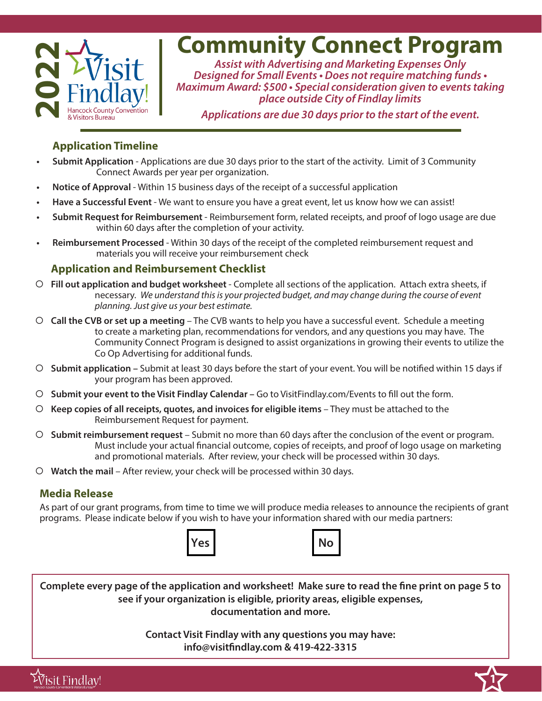

# **Community Connect Program**

*Assist with Advertising and Marketing Expenses Only Designed for Small Events • Does not require matching funds • Maximum Award: \$500 • Special consideration given to events taking place outside City of Findlay limits*

*Applications are due 30 days prior to the start of the event.*

#### **Application Timeline**

- **• Submit Application**  Applications are due 30 days prior to the start of the activity. Limit of 3 Community Connect Awards per year per organization.
- **• Notice of Approval**  Within 15 business days of the receipt of a successful application
- **• Have a Successful Event**  We want to ensure you have a great event, let us know how we can assist!
- **• Submit Request for Reimbursement**  Reimbursement form, related receipts, and proof of logo usage are due within 60 days after the completion of your activity.
- **• Reimbursement Processed**  Within 30 days of the receipt of the completed reimbursement request and materials you will receive your reimbursement check

#### **Application and Reimbursement Checklist**

- { **Fill out application and budget worksheet**  Complete all sections of the application. Attach extra sheets, if necessary. *We understand this is your projected budget, and may change during the course of event planning. Just give us your best estimate.*
- { **Call the CVB or set up a meeting**  The CVB wants to help you have a successful event. Schedule a meeting to create a marketing plan, recommendations for vendors, and any questions you may have. The Community Connect Program is designed to assist organizations in growing their events to utilize the Co Op Advertising for additional funds.
- { **Submit application** Submit at least 30 days before the start of your event. You will be notified within 15 days if your program has been approved.
- { **Submit your event to the Visit Findlay Calendar –** Go to VisitFindlay.com/Events to fill out the form.
- { **Keep copies of all receipts, quotes, and invoices for eligible items**  They must be attached to the Reimbursement Request for payment.
- { **Submit reimbursement request** Submit no more than 60 days after the conclusion of the event or program. Must include your actual financial outcome, copies of receipts, and proof of logo usage on marketing and promotional materials. After review, your check will be processed within 30 days.
- { **Watch the mail** After review, your check will be processed within 30 days.

### **Media Release**

As part of our grant programs, from time to time we will produce media releases to announce the recipients of grant programs. Please indicate below if you wish to have your information shared with our media partners:





**Complete every page of the application and worksheet! Make sure to read the fine print on page 5 to see if your organization is eligible, priority areas, eligible expenses, documentation and more.**

> **Contact Visit Findlay with any questions you may have: info@visitfindlay.com & 419-422-3315**